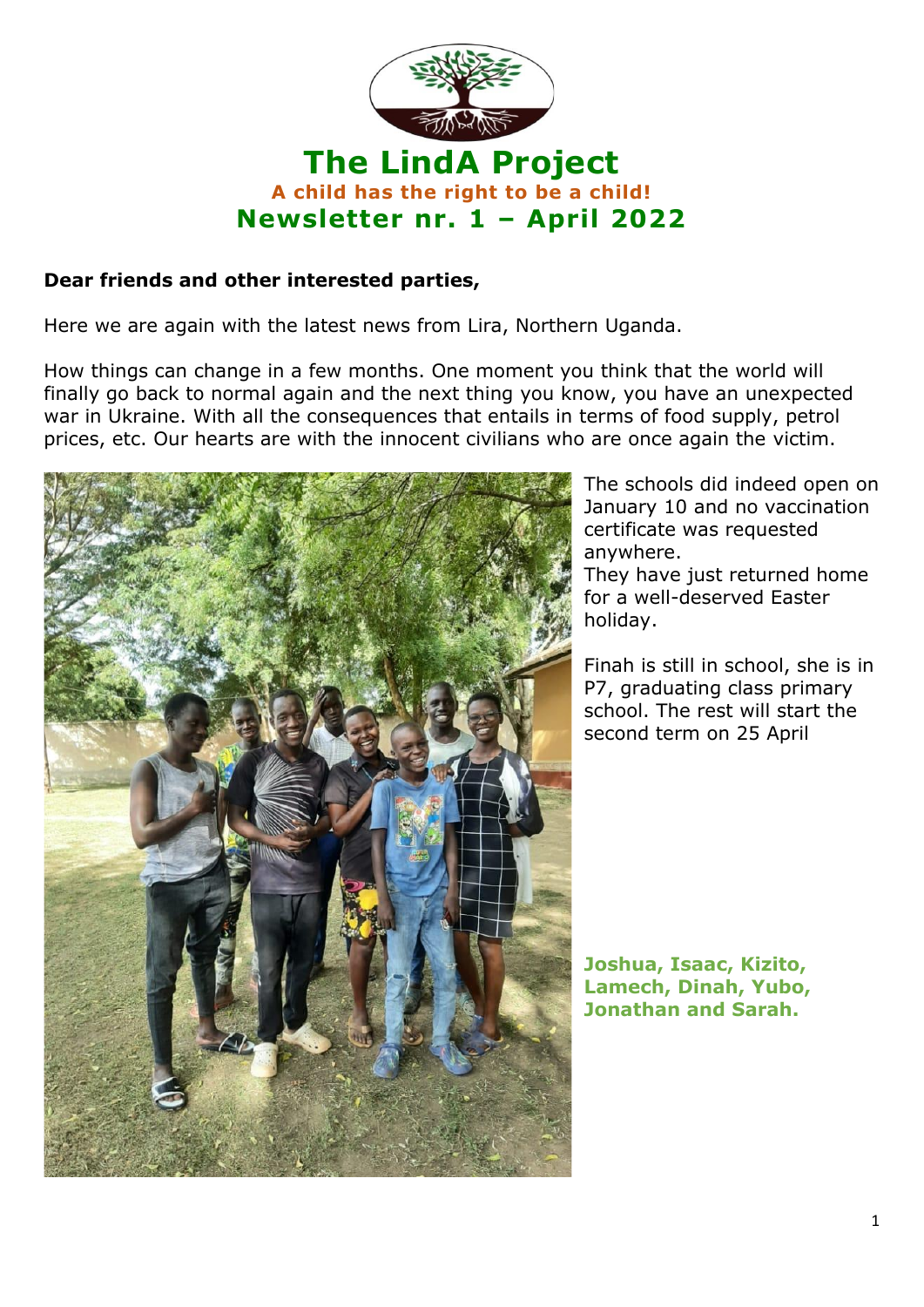

## **Dear friends and other interested parties,**

Here we are again with the latest news from Lira, Northern Uganda.

How things can change in a few months. One moment you think that the world will finally go back to normal again and the next thing you know, you have an unexpected war in Ukraine. With all the consequences that entails in terms of food supply, petrol prices, etc. Our hearts are with the innocent civilians who are once again the victim.



The schools did indeed open on January 10 and no vaccination certificate was requested anywhere.

They have just returned home for a well-deserved Easter holiday.

Finah is still in school, she is in P7, graduating class primary school. The rest will start the second term on 25 April

**Joshua, Isaac, Kizito, Lamech, Dinah, Yubo, Jonathan and Sarah.**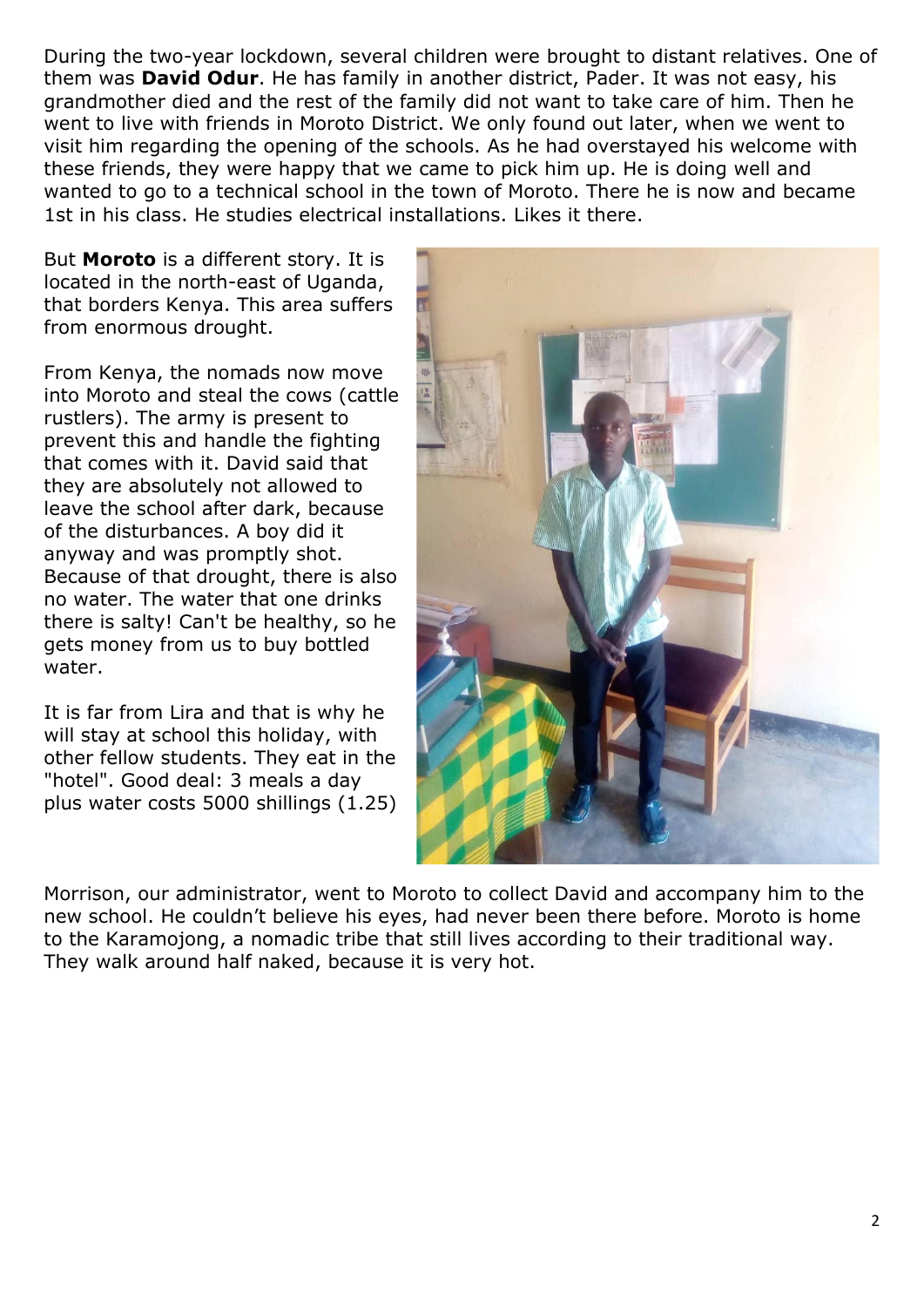During the two-year lockdown, several children were brought to distant relatives. One of them was **David Odur**. He has family in another district, Pader. It was not easy, his grandmother died and the rest of the family did not want to take care of him. Then he went to live with friends in Moroto District. We only found out later, when we went to visit him regarding the opening of the schools. As he had overstayed his welcome with these friends, they were happy that we came to pick him up. He is doing well and wanted to go to a technical school in the town of Moroto. There he is now and became 1st in his class. He studies electrical installations. Likes it there.

But **Moroto** is a different story. It is located in the north-east of Uganda, that borders Kenya. This area suffers from enormous drought.

From Kenya, the nomads now move into Moroto and steal the cows (cattle rustlers). The army is present to prevent this and handle the fighting that comes with it. David said that they are absolutely not allowed to leave the school after dark, because of the disturbances. A boy did it anyway and was promptly shot. Because of that drought, there is also no water. The water that one drinks there is salty! Can't be healthy, so he gets money from us to buy bottled water.

It is far from Lira and that is why he will stay at school this holiday, with other fellow students. They eat in the "hotel". Good deal: 3 meals a day plus water costs 5000 shillings (1.25)



Morrison, our administrator, went to Moroto to collect David and accompany him to the new school. He couldn't believe his eyes, had never been there before. Moroto is home to the Karamojong, a nomadic tribe that still lives according to their traditional way. They walk around half naked, because it is very hot.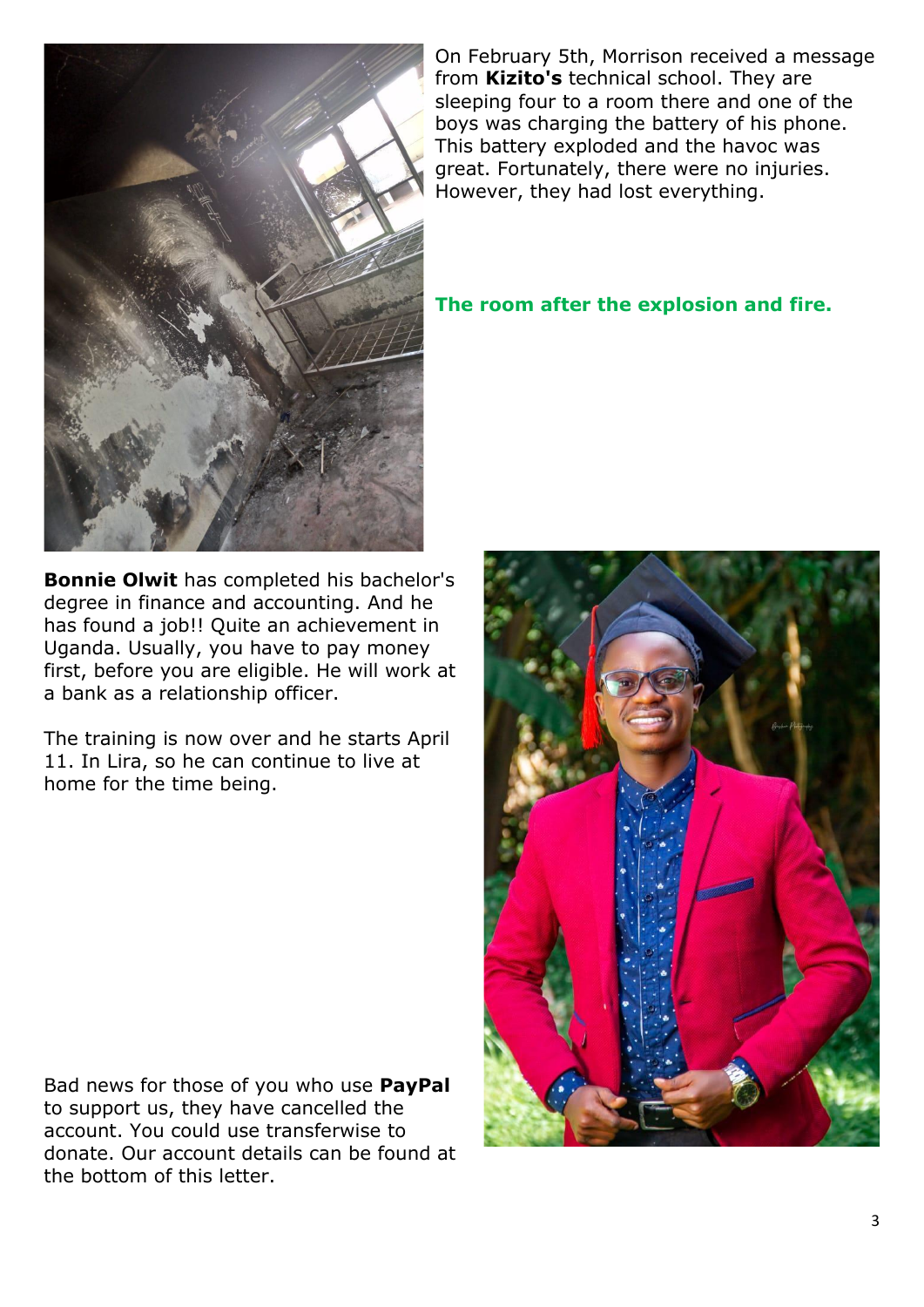

On February 5th, Morrison received a message from **Kizito's** technical school. They are sleeping four to a room there and one of the boys was charging the battery of his phone. This battery exploded and the havoc was great. Fortunately, there were no injuries. However, they had lost everything.

## **The room after the explosion and fire.**

**Bonnie Olwit** has completed his bachelor's degree in finance and accounting. And he has found a job!! Quite an achievement in Uganda. Usually, you have to pay money first, before you are eligible. He will work at a bank as a relationship officer.

The training is now over and he starts April 11. In Lira, so he can continue to live at home for the time being.

Bad news for those of you who use **PayPal** to support us, they have cancelled the account. You could use transferwise to donate. Our account details can be found at the bottom of this letter.